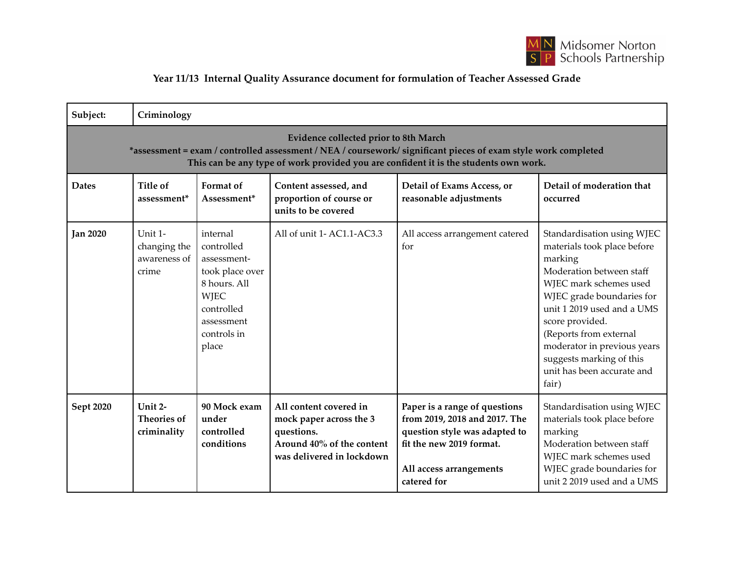

## **Year 11/13 Internal Quality Assurance document for formulation of Teacher Assessed Grade**

| Subject:                                                                                                                                                                                                                                               | Criminology                                      |                                                                                                                                             |                                                                                                                           |                                                                                                                                                                       |                                                                                                                                                                                                                                                                                                                                      |  |  |  |  |
|--------------------------------------------------------------------------------------------------------------------------------------------------------------------------------------------------------------------------------------------------------|--------------------------------------------------|---------------------------------------------------------------------------------------------------------------------------------------------|---------------------------------------------------------------------------------------------------------------------------|-----------------------------------------------------------------------------------------------------------------------------------------------------------------------|--------------------------------------------------------------------------------------------------------------------------------------------------------------------------------------------------------------------------------------------------------------------------------------------------------------------------------------|--|--|--|--|
| <b>Evidence collected prior to 8th March</b><br>*assessment = exam / controlled assessment / NEA / coursework/ significant pieces of exam style work completed<br>This can be any type of work provided you are confident it is the students own work. |                                                  |                                                                                                                                             |                                                                                                                           |                                                                                                                                                                       |                                                                                                                                                                                                                                                                                                                                      |  |  |  |  |
| <b>Dates</b>                                                                                                                                                                                                                                           | Title of<br>assessment*                          | Format of<br>Assessment*                                                                                                                    | Content assessed, and<br>proportion of course or<br>units to be covered                                                   | Detail of Exams Access, or<br>reasonable adjustments                                                                                                                  | Detail of moderation that<br>occurred                                                                                                                                                                                                                                                                                                |  |  |  |  |
| <b>Jan 2020</b>                                                                                                                                                                                                                                        | Unit 1-<br>changing the<br>awareness of<br>crime | internal<br>controlled<br>assessment-<br>took place over<br>8 hours. All<br><b>WJEC</b><br>controlled<br>assessment<br>controls in<br>place | All of unit 1-AC1.1-AC3.3                                                                                                 | All access arrangement catered<br>for                                                                                                                                 | Standardisation using WJEC<br>materials took place before<br>marking<br>Moderation between staff<br>WJEC mark schemes used<br>WJEC grade boundaries for<br>unit 1 2019 used and a UMS<br>score provided.<br>(Reports from external<br>moderator in previous years<br>suggests marking of this<br>unit has been accurate and<br>fair) |  |  |  |  |
| Sept 2020                                                                                                                                                                                                                                              | Unit 2-<br><b>Theories of</b><br>criminality     | 90 Mock exam<br>under<br>controlled<br>conditions                                                                                           | All content covered in<br>mock paper across the 3<br>questions.<br>Around 40% of the content<br>was delivered in lockdown | Paper is a range of questions<br>from 2019, 2018 and 2017. The<br>question style was adapted to<br>fit the new 2019 format.<br>All access arrangements<br>catered for | Standardisation using WJEC<br>materials took place before<br>marking<br>Moderation between staff<br>WJEC mark schemes used<br>WJEC grade boundaries for<br>unit 2 2019 used and a UMS                                                                                                                                                |  |  |  |  |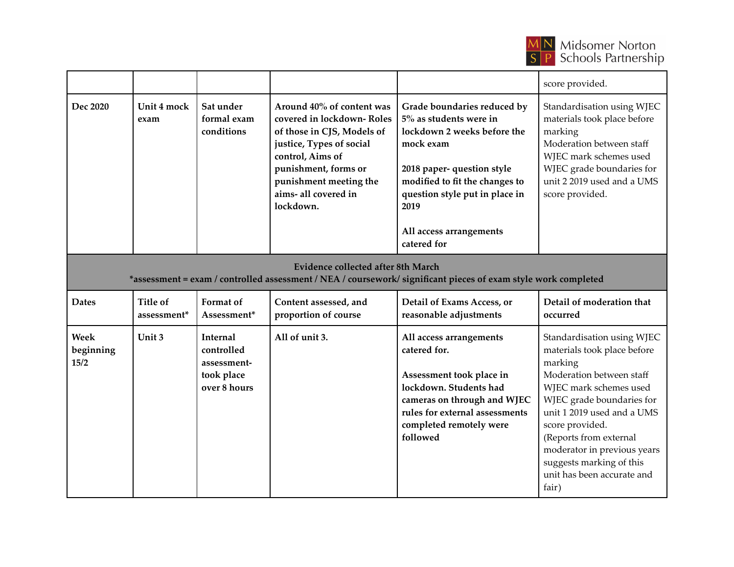

|                                                                                                                                                      |                     |                                        |                                                                                                                                                                                                                             |                                                                                                                                                                                                                | score provided.                                                                                                                                                                                          |  |  |
|------------------------------------------------------------------------------------------------------------------------------------------------------|---------------------|----------------------------------------|-----------------------------------------------------------------------------------------------------------------------------------------------------------------------------------------------------------------------------|----------------------------------------------------------------------------------------------------------------------------------------------------------------------------------------------------------------|----------------------------------------------------------------------------------------------------------------------------------------------------------------------------------------------------------|--|--|
| Dec 2020                                                                                                                                             | Unit 4 mock<br>exam | Sat under<br>formal exam<br>conditions | Around 40% of content was<br>covered in lockdown-Roles<br>of those in CJS, Models of<br>justice, Types of social<br>control, Aims of<br>punishment, forms or<br>punishment meeting the<br>aims- all covered in<br>lockdown. | Grade boundaries reduced by<br>$5\%$ as students were in<br>lockdown 2 weeks before the<br>mock exam<br>2018 paper- question style<br>modified to fit the changes to<br>question style put in place in<br>2019 | Standardisation using WJEC<br>materials took place before<br>marking<br>Moderation between staff<br>WJEC mark schemes used<br>WJEC grade boundaries for<br>unit 2 2019 used and a UMS<br>score provided. |  |  |
|                                                                                                                                                      |                     |                                        |                                                                                                                                                                                                                             | All access arrangements<br>catered for                                                                                                                                                                         |                                                                                                                                                                                                          |  |  |
| Evidence collected after 8th March<br>*assessment = exam / controlled assessment / NEA / coursework/ significant pieces of exam style work completed |                     |                                        |                                                                                                                                                                                                                             |                                                                                                                                                                                                                |                                                                                                                                                                                                          |  |  |
| <b>Dates</b>                                                                                                                                         | <b>Title of</b>     |                                        |                                                                                                                                                                                                                             |                                                                                                                                                                                                                |                                                                                                                                                                                                          |  |  |
|                                                                                                                                                      | assessment*         | <b>Format</b> of<br>Assessment*        | Content assessed, and<br>proportion of course                                                                                                                                                                               | Detail of Exams Access, or<br>reasonable adjustments                                                                                                                                                           | Detail of moderation that<br>occurred                                                                                                                                                                    |  |  |